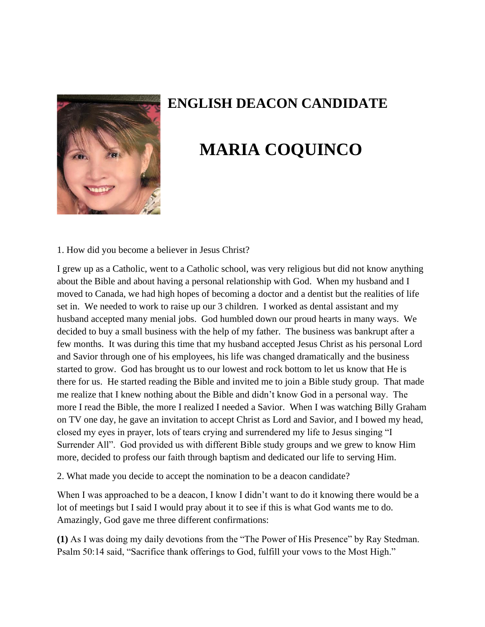

## **ENGLISH DEACON CANDIDATE**

## **MARIA COQUINCO**

1. How did you become a believer in Jesus Christ?

I grew up as a Catholic, went to a Catholic school, was very religious but did not know anything about the Bible and about having a personal relationship with God. When my husband and I moved to Canada, we had high hopes of becoming a doctor and a dentist but the realities of life set in. We needed to work to raise up our 3 children. I worked as dental assistant and my husband accepted many menial jobs. God humbled down our proud hearts in many ways. We decided to buy a small business with the help of my father. The business was bankrupt after a few months. It was during this time that my husband accepted Jesus Christ as his personal Lord and Savior through one of his employees, his life was changed dramatically and the business started to grow. God has brought us to our lowest and rock bottom to let us know that He is there for us. He started reading the Bible and invited me to join a Bible study group. That made me realize that I knew nothing about the Bible and didn't know God in a personal way. The more I read the Bible, the more I realized I needed a Savior. When I was watching Billy Graham on TV one day, he gave an invitation to accept Christ as Lord and Savior, and I bowed my head, closed my eyes in prayer, lots of tears crying and surrendered my life to Jesus singing "I Surrender All". God provided us with different Bible study groups and we grew to know Him more, decided to profess our faith through baptism and dedicated our life to serving Him.

2. What made you decide to accept the nomination to be a deacon candidate?

When I was approached to be a deacon, I know I didn't want to do it knowing there would be a lot of meetings but I said I would pray about it to see if this is what God wants me to do. Amazingly, God gave me three different confirmations:

**(1)** As I was doing my daily devotions from the "The Power of His Presence" by Ray Stedman. Psalm 50:14 said, "Sacrifice thank offerings to God, fulfill your vows to the Most High."